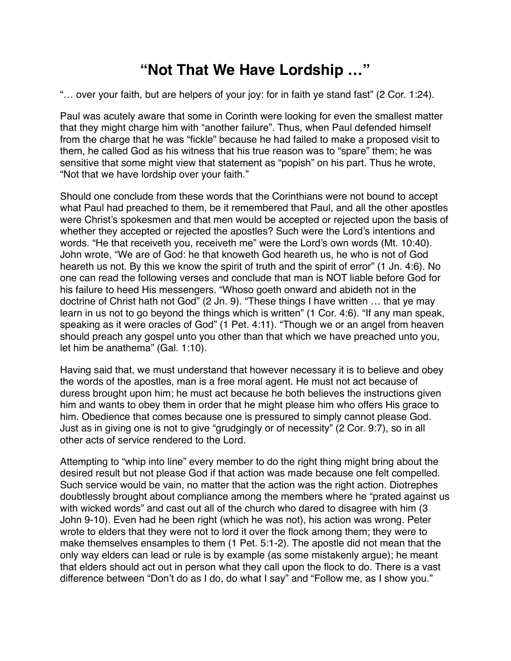## **"Not That We Have Lordship …"**

"… over your faith, but are helpers of your joy: for in faith ye stand fast" (2 Cor. 1:24).

Paul was acutely aware that some in Corinth were looking for even the smallest matter that they might charge him with "another failure". Thus, when Paul defended himself from the charge that he was "fickle" because he had failed to make a proposed visit to them, he called God as his witness that his true reason was to "spare" them; he was sensitive that some might view that statement as "popish" on his part. Thus he wrote, "Not that we have lordship over your faith."

Should one conclude from these words that the Corinthians were not bound to accept what Paul had preached to them, be it remembered that Paul, and all the other apostles were Christ's spokesmen and that men would be accepted or rejected upon the basis of whether they accepted or rejected the apostles? Such were the Lord's intentions and words. "He that receiveth you, receiveth me" were the Lord's own words (Mt. 10:40). John wrote, "We are of God: he that knoweth God heareth us, he who is not of God heareth us not. By this we know the spirit of truth and the spirit of error" (1 Jn. 4:6). No one can read the following verses and conclude that man is NOT liable before God for his failure to heed His messengers. "Whoso goeth onward and abideth not in the doctrine of Christ hath not God" (2 Jn. 9). "These things I have written … that ye may learn in us not to go beyond the things which is written" (1 Cor. 4:6). "If any man speak, speaking as it were oracles of God" (1 Pet. 4:11). "Though we or an angel from heaven should preach any gospel unto you other than that which we have preached unto you, let him be anathema" (Gal. 1:10).

Having said that, we must understand that however necessary it is to believe and obey the words of the apostles, man is a free moral agent. He must not act because of duress brought upon him; he must act because he both believes the instructions given him and wants to obey them in order that he might please him who offers His grace to him. Obedience that comes because one is pressured to simply cannot please God. Just as in giving one is not to give "grudgingly or of necessity" (2 Cor. 9:7), so in all other acts of service rendered to the Lord.

Attempting to "whip into line" every member to do the right thing might bring about the desired result but not please God if that action was made because one felt compelled. Such service would be vain, no matter that the action was the right action. Diotrephes doubtlessly brought about compliance among the members where he "prated against us with wicked words" and cast out all of the church who dared to disagree with him (3 John 9-10). Even had he been right (which he was not), his action was wrong. Peter wrote to elders that they were not to lord it over the flock among them; they were to make themselves ensamples to them (1 Pet. 5:1-2). The apostle did not mean that the only way elders can lead or rule is by example (as some mistakenly argue); he meant that elders should act out in person what they call upon the flock to do. There is a vast difference between "Don't do as I do, do what I say" and "Follow me, as I show you."